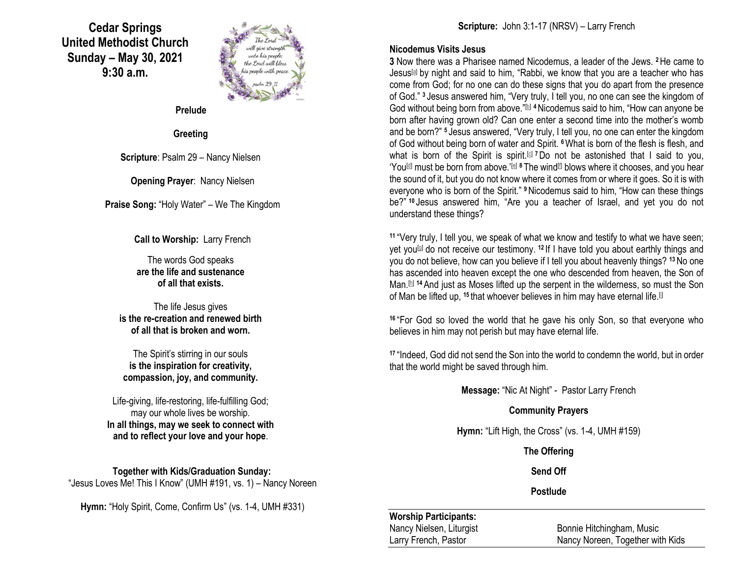**Cedar Springs United Methodist Church Sunday – May 30, 2021 9:30 a.m.**



**Prelude**

### **Greeting**

**Scripture**: Psalm 29 – Nancy Nielsen

**Opening Prayer**: Nancy Nielsen

**Praise Song:** "Holy Water" – We The Kingdom

**Call to Worship:** Larry French

The words God speaks **are the life and sustenance of all that exists.**

The life Jesus gives **is the re-creation and renewed birth of all that is broken and worn.**

The Spirit's stirring in our souls **is the inspiration for creativity, compassion, joy, and community.**

Life-giving, life-restoring, life-fulfilling God; may our whole lives be worship. **In all things, may we seek to connect with and to reflect your love and your hope**.

**Together with Kids/Graduation Sunday:** "Jesus Loves Me! This I Know" (UMH #191, vs. 1) – Nancy Noreen

**Hymn:** "Holy Spirit, Come, Confirm Us" (vs. 1-4, UMH #331)

### **Nicodemus Visits Jesus**

**3** Now there was a Pharisee named Nicodemus, a leader of the Jews. **<sup>2</sup>**He came to Jesus[\[a\]](https://www.biblegateway.com/passage/?search=John+3%3A1-17&version=NRSV#fen-NRSV-26113a) by night and said to him, "Rabbi, we know that you are a teacher who has come from God; for no one can do these signs that you do apart from the presence of God." **<sup>3</sup>** Jesus answered him, "Very truly, I tell you, no one can see the kingdom of God without being born from above."<sup>[\[b\]](https://www.biblegateway.com/passage/?search=John+3%3A1-17&version=NRSV#fen-NRSV-26114b)</sup> <sup>4</sup>Nicodemus said to him, "How can anyone be born after having grown old? Can one enter a second time into the mother's womb and be born?" **<sup>5</sup>** Jesus answered, "Very truly, I tell you, no one can enter the kingdom of God without being born of water and Spirit. **<sup>6</sup>**What is born of the flesh is flesh, and what is born of the Spirit is spirit.<sup>[\[c\]](https://www.biblegateway.com/passage/?search=John+3%3A1-17&version=NRSV#fen-NRSV-26117c) 7</sup>Do not be astonished that I said to you, 'You<sup>[\[d\]](https://www.biblegateway.com/passage/?search=John+3%3A1-17&version=NRSV#fen-NRSV-26118d)</sup> must be born from above.'<sup>[\[e\]](https://www.biblegateway.com/passage/?search=John+3%3A1-17&version=NRSV#fen-NRSV-26118e) 8</sup> The wind<sup>[\[f\]](https://www.biblegateway.com/passage/?search=John+3%3A1-17&version=NRSV#fen-NRSV-26119f)</sup> blows where it chooses, and you hear the sound of it, but you do not know where it comes from or where it goes. So it is with everyone who is born of the Spirit." **<sup>9</sup>**Nicodemus said to him, "How can these things be?" **<sup>10</sup>** Jesus answered him, "Are you a teacher of Israel, and yet you do not understand these things?

**<sup>11</sup>** "Very truly, I tell you, we speak of what we know and testify to what we have seen; yet you[\[g\]](https://www.biblegateway.com/passage/?search=John+3%3A1-17&version=NRSV#fen-NRSV-26122g) do not receive our testimony. **<sup>12</sup>** If I have told you about earthly things and you do not believe, how can you believe if I tell you about heavenly things? **<sup>13</sup>**No one has ascended into heaven except the one who descended from heaven, the Son of Man.<sup>[\[h\]](https://www.biblegateway.com/passage/?search=John+3%3A1-17&version=NRSV#fen-NRSV-26124h) 14</sup> And just as Moses lifted up the serpent in the wilderness, so must the Son of Man be lifted up, <sup>15</sup> that whoever believes in him may have eternal life.<sup>[\[i\]](https://www.biblegateway.com/passage/?search=John+3%3A1-17&version=NRSV#fen-NRSV-26126i)</sup>

**<sup>16</sup>** "For God so loved the world that he gave his only Son, so that everyone who believes in him may not perish but may have eternal life.

**<sup>17</sup>** "Indeed, God did not send the Son into the world to condemn the world, but in order that the world might be saved through him.

**Message:** "Nic At Night" - Pastor Larry French

# **Community Prayers**

**Hymn:** "Lift High, the Cross" (vs. 1-4, UMH #159)

**The Offering**

**Send Off**

# **Postlude**

# **Worship Participants:**

Nancy Nielsen, Liturgist Bonnie Hitchingham, Music Larry French, Pastor Nancy Noreen, Together with Kids